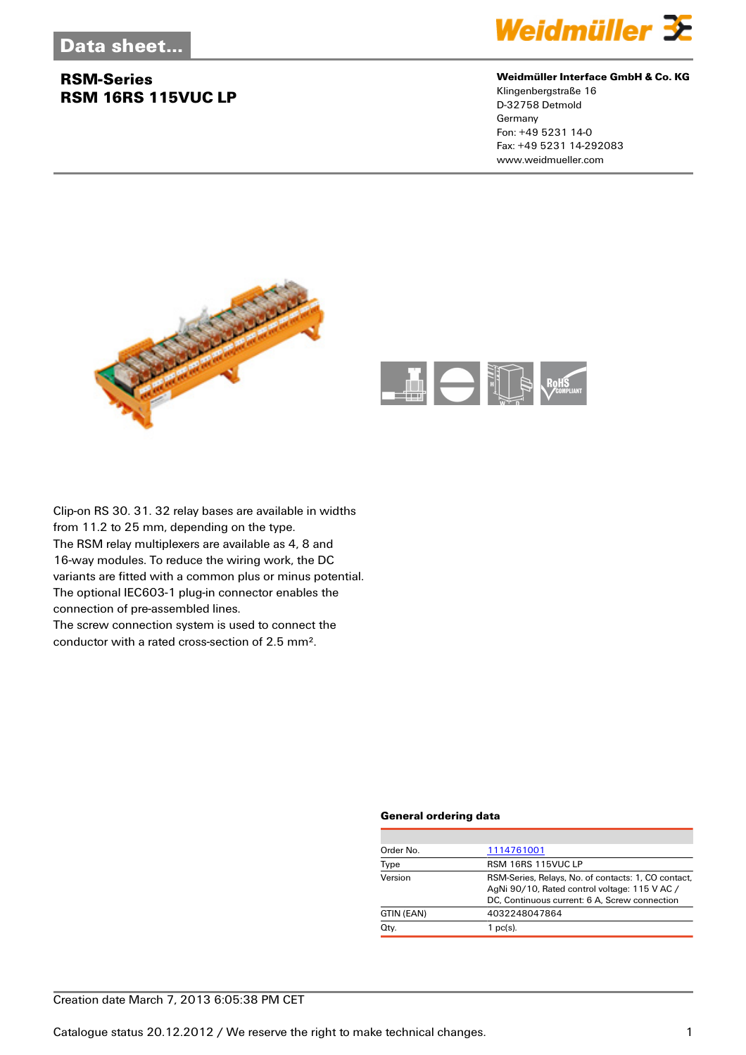## **RSM-Series RSM 16RS 115VUC LP**



#### **Weidmüller Interface GmbH & Co. KG**

Klingenbergstraße 16 D-32758 Detmold Germany Fon: +49 5231 14-0 Fax: +49 5231 14-292083 www.weidmueller.com





Clip-on RS 30. 31. 32 relay bases are available in widths from 11.2 to 25 mm, depending on the type. The RSM relay multiplexers are available as 4, 8 and 16-way modules. To reduce the wiring work, the DC variants are fitted with a common plus or minus potential. The optional IEC603-1 plug-in connector enables the connection of pre-assembled lines. The screw connection system is used to connect the

conductor with a rated cross-section of 2.5 mm².

#### **General ordering data**

| Order No.  | 1114761001                                                                                                                                            |
|------------|-------------------------------------------------------------------------------------------------------------------------------------------------------|
| Type       | RSM 16RS 115VUC LP                                                                                                                                    |
| Version    | RSM-Series, Relays, No. of contacts: 1, CO contact,<br>AgNi 90/10, Rated control voltage: 115 V AC /<br>DC, Continuous current: 6 A, Screw connection |
| GTIN (EAN) | 4032248047864                                                                                                                                         |
| Qty.       | $1$ pc(s).                                                                                                                                            |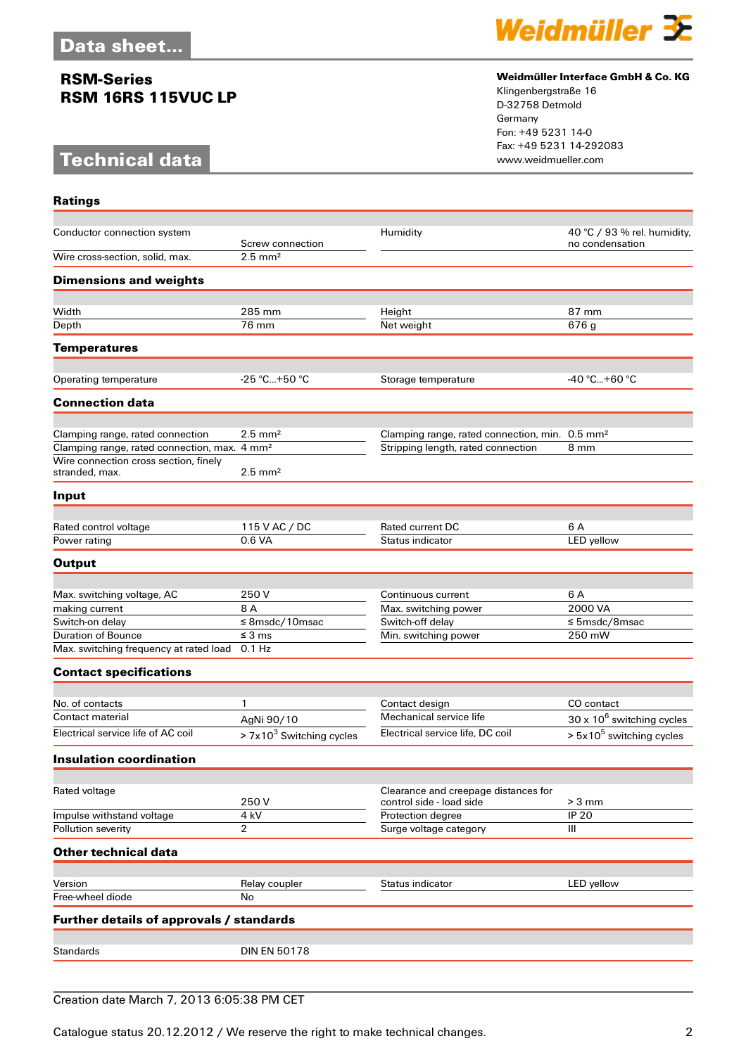## **RSM-Series RSM 16RS 115VUC LP**

# **Technical data**

**Ratings**



#### **Weidmüller Interface GmbH & Co. KG**

Klingenbergstraße 16 D-32758 Detmold Germany Fon: +49 5231 14-0 Fax: +49 5231 14-292083

| Conductor connection system                              |                                           | Humidity                                                         | 40 °C / 93 % rel. humidity,       |
|----------------------------------------------------------|-------------------------------------------|------------------------------------------------------------------|-----------------------------------|
| Wire cross-section, solid, max.                          | Screw connection<br>$2.5$ mm <sup>2</sup> |                                                                  | no condensation                   |
| <b>Dimensions and weights</b>                            |                                           |                                                                  |                                   |
|                                                          |                                           |                                                                  |                                   |
| Width                                                    | 285 mm                                    | Height                                                           | 87 mm                             |
| Depth                                                    | 76 mm                                     | Net weight                                                       | 676 g                             |
| <b>Temperatures</b>                                      |                                           |                                                                  |                                   |
| Operating temperature                                    | $-25 °C+50 °C$                            | Storage temperature                                              | -40 °C+60 °C                      |
| <b>Connection data</b>                                   |                                           |                                                                  |                                   |
|                                                          |                                           |                                                                  |                                   |
| Clamping range, rated connection                         | $2.5$ mm <sup>2</sup>                     | Clamping range, rated connection, min. 0.5 mm <sup>2</sup>       |                                   |
| Clamping range, rated connection, max. 4 mm <sup>2</sup> |                                           | Stripping length, rated connection                               | 8 mm                              |
| Wire connection cross section, finely<br>stranded, max.  | $2.5$ mm <sup>2</sup>                     |                                                                  |                                   |
| Input                                                    |                                           |                                                                  |                                   |
|                                                          |                                           |                                                                  |                                   |
| Rated control voltage                                    | 115 V AC / DC                             | <b>Rated current DC</b>                                          | 6 A                               |
| Power rating                                             | 0.6 VA                                    | Status indicator                                                 | LED yellow                        |
| <b>Output</b>                                            |                                           |                                                                  |                                   |
|                                                          | 250 V                                     |                                                                  | 6 A                               |
| Max. switching voltage, AC<br>making current             | 8 A                                       | Continuous current<br>Max. switching power                       | 2000 VA                           |
| Switch-on delay                                          | $≤$ 8msdc/10msac                          | Switch-off delay                                                 | $\leq$ 5msdc/8msac                |
| <b>Duration of Bounce</b>                                | $\leq$ 3 ms                               | Min. switching power                                             | 250 mW                            |
| Max. switching frequency at rated load                   | $0.1$ Hz                                  |                                                                  |                                   |
| <b>Contact specifications</b>                            |                                           |                                                                  |                                   |
|                                                          |                                           |                                                                  |                                   |
| No. of contacts<br>Contact material                      | 1                                         | Contact design<br>Mechanical service life                        | CO contact                        |
|                                                          | AgNi 90/10                                |                                                                  | $30 \times 10^6$ switching cycles |
| Electrical service life of AC coil                       | > 7x10 <sup>3</sup> Switching cycles      | Electrical service life, DC coil                                 | $> 5x105$ switching cycles        |
| <b>Insulation coordination</b>                           |                                           |                                                                  |                                   |
| Rated voltage                                            | 250V                                      | Clearance and creepage distances for<br>control side - load side | $> 3$ mm                          |
| Impulse withstand voltage                                | 4 kV                                      | Protection degree                                                | <b>IP 20</b>                      |
| Pollution severity                                       | $\overline{2}$                            | Surge voltage category                                           | Ш                                 |
| <b>Other technical data</b>                              |                                           |                                                                  |                                   |
|                                                          |                                           |                                                                  |                                   |
| Version                                                  | Relay coupler                             | Status indicator                                                 | LED yellow                        |
| Free-wheel diode                                         | No                                        |                                                                  |                                   |
| Further details of approvals / standards                 |                                           |                                                                  |                                   |
| <b>Standards</b>                                         | <b>DIN EN 50178</b>                       |                                                                  |                                   |
|                                                          |                                           |                                                                  |                                   |

Creation date March 7, 2013 6:05:38 PM CET